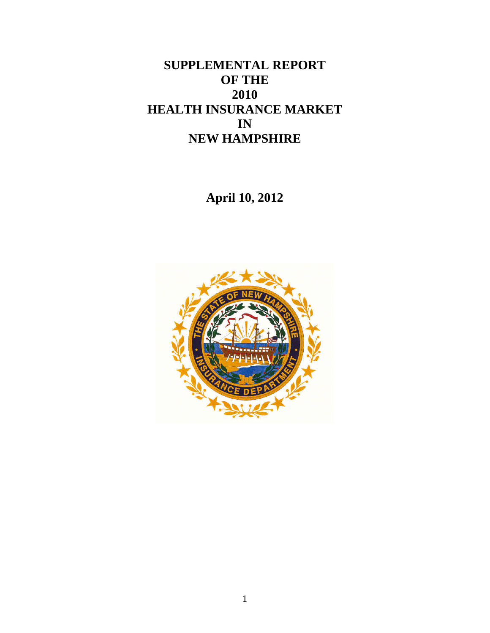# **SUPPLEMENTAL REPORT OF THE 2010 HEALTH INSURANCE MARKET IN NEW HAMPSHIRE**

**April 10, 2012** 

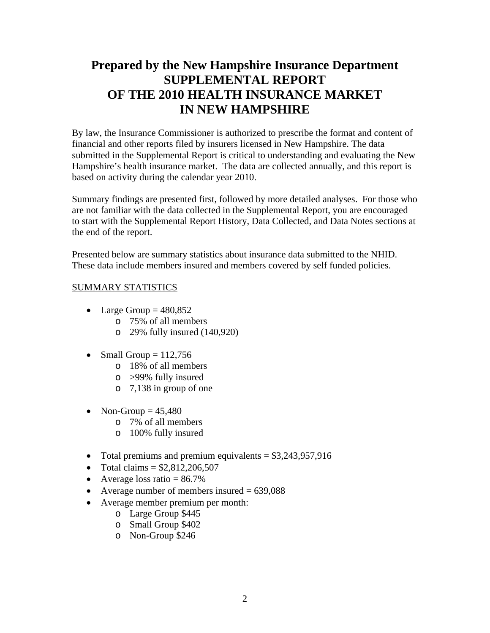# **Prepared by the New Hampshire Insurance Department SUPPLEMENTAL REPORT OF THE 2010 HEALTH INSURANCE MARKET IN NEW HAMPSHIRE**

By law, the Insurance Commissioner is authorized to prescribe the format and content of financial and other reports filed by insurers licensed in New Hampshire. The data submitted in the Supplemental Report is critical to understanding and evaluating the New Hampshire's health insurance market. The data are collected annually, and this report is based on activity during the calendar year 2010.

Summary findings are presented first, followed by more detailed analyses. For those who are not familiar with the data collected in the Supplemental Report, you are encouraged to start with the Supplemental Report History, Data Collected, and Data Notes sections at the end of the report.

Presented below are summary statistics about insurance data submitted to the NHID. These data include members insured and members covered by self funded policies.

#### SUMMARY STATISTICS

- Large Group  $= 480,852$ 
	- o 75% of all members
	- o 29% fully insured (140,920)
- Small Group  $= 112,756$ 
	- o 18% of all members
	- o >99% fully insured
	- o 7,138 in group of one
- Non-Group  $= 45,480$ 
	- o 7% of all members
	- o 100% fully insured
- Total premiums and premium equivalents  $= $3,243,957,916$
- Total claims  $= $2,812,206,507$
- Average loss ratio  $= 86.7\%$
- Average number of members insured  $= 639,088$
- Average member premium per month:
	- o Large Group \$445
	- o Small Group \$402
	- o Non-Group \$246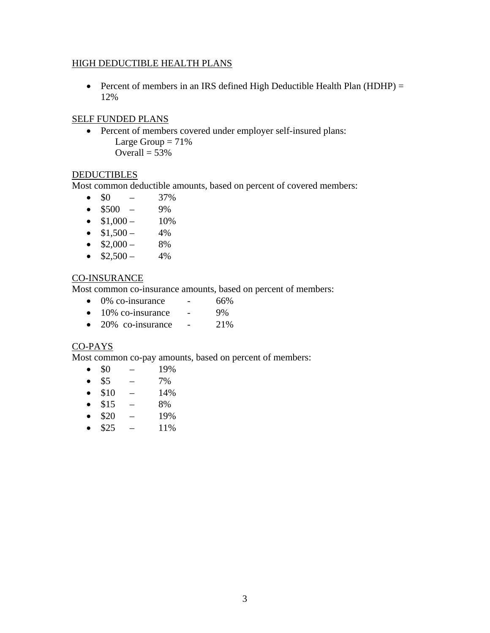#### HIGH DEDUCTIBLE HEALTH PLANS

• Percent of members in an IRS defined High Deductible Health Plan (HDHP) = 12%

#### SELF FUNDED PLANS

- Percent of members covered under employer self-insured plans: Large Group  $= 71\%$ 
	- Overall  $= 53%$

#### **DEDUCTIBLES**

Most common deductible amounts, based on percent of covered members:

- $\bullet$  \$0 37%
- $\bullet$  \$500 9%
- $\bullet$  \$1,000 10%
- $\bullet$  \$1,500 4%
- $\bullet$  \$2,000 8%
- $\bullet$  \$2,500 4%

#### CO-INSURANCE

Most common co-insurance amounts, based on percent of members:

- $\bullet$  0% co-insurance 66%
- $\bullet$  10% co-insurance 9%
- $\bullet$  20% co-insurance 21%

#### CO-PAYS

Most common co-pay amounts, based on percent of members:

- $\bullet$  \$0 19%
- $\bullet$  \$5 7%
- $\bullet$  \$10 14%
- $\bullet$  \$15 8%
- $\bullet$  \$20 19%
- $\bullet$  \$25 11%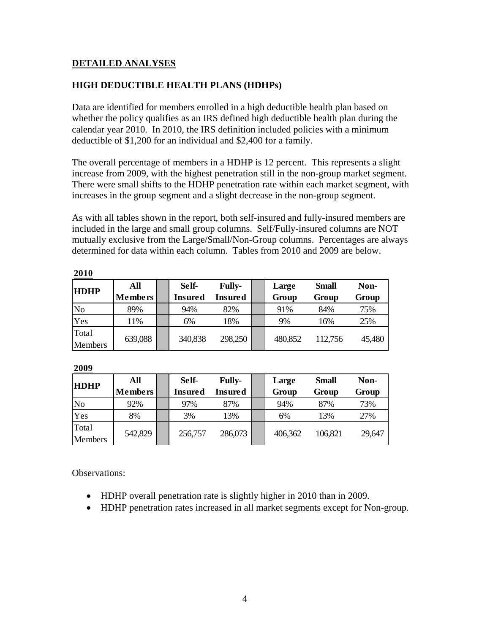#### **DETAILED ANALYSES**

#### **HIGH DEDUCTIBLE HEALTH PLANS (HDHPs)**

Data are identified for members enrolled in a high deductible health plan based on whether the policy qualifies as an IRS defined high deductible health plan during the calendar year 2010. In 2010, the IRS definition included policies with a minimum deductible of \$1,200 for an individual and \$2,400 for a family.

The overall percentage of members in a HDHP is 12 percent. This represents a slight increase from 2009, with the highest penetration still in the non-group market segment. There were small shifts to the HDHP penetration rate within each market segment, with increases in the group segment and a slight decrease in the non-group segment.

As with all tables shown in the report, both self-insured and fully-insured members are included in the large and small group columns. Self/Fully-insured columns are NOT mutually exclusive from the Large/Small/Non-Group columns. Percentages are always determined for data within each column. Tables from 2010 and 2009 are below.

| <b>HDHP</b>      | All<br><b>Members</b> | Self-<br>Insured | <b>Fully-</b><br>Insured | Large<br>Group | <b>Small</b><br>Group | Non-<br>Group |
|------------------|-----------------------|------------------|--------------------------|----------------|-----------------------|---------------|
| N <sub>o</sub>   | 89%                   | 94%              | 82%                      | 91%            | 84%                   | 75%           |
| Yes              | 11%                   | 6%               | 18%                      | 9%             | 16%                   | 25%           |
| Total<br>Members | 639,088               | 340,838          | 298,250                  | 480,852        | 112,756               | 45,480        |

**2010**

| <b>HDHP</b>      | All<br><b>Members</b> | Self-<br>Insured | <b>Fully-</b><br>Insured | Large<br>Group | <b>Small</b><br>Group | Non-<br>Group |
|------------------|-----------------------|------------------|--------------------------|----------------|-----------------------|---------------|
| No               | 92%                   | 97%              | 87%                      | 94%            | 87%                   | 73%           |
| Yes              | 8%                    | 3%               | 13%                      | 6%             | 13%                   | 27%           |
| Total<br>Members | 542,829               | 256,757          | 286,073                  | 406,362        | 106,821               | 29,647        |

**2009**

Observations:

- HDHP overall penetration rate is slightly higher in 2010 than in 2009.
- HDHP penetration rates increased in all market segments except for Non-group.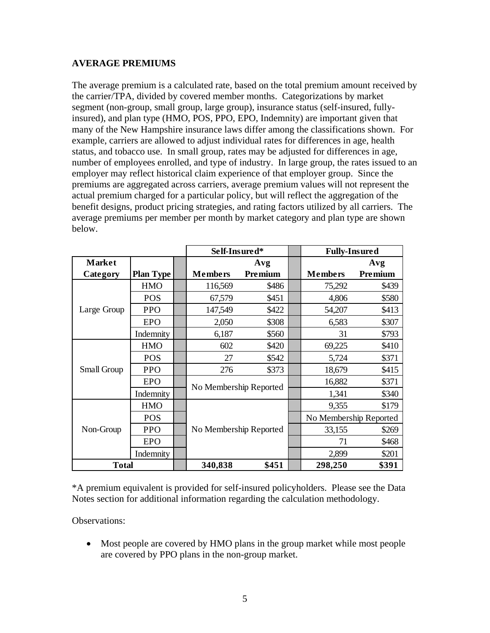#### **AVERAGE PREMIUMS**

The average premium is a calculated rate, based on the total premium amount received by the carrier/TPA, divided by covered member months. Categorizations by market segment (non-group, small group, large group), insurance status (self-insured, fullyinsured), and plan type (HMO, POS, PPO, EPO, Indemnity) are important given that many of the New Hampshire insurance laws differ among the classifications shown. For example, carriers are allowed to adjust individual rates for differences in age, health status, and tobacco use. In small group, rates may be adjusted for differences in age, number of employees enrolled, and type of industry. In large group, the rates issued to an employer may reflect historical claim experience of that employer group. Since the premiums are aggregated across carriers, average premium values will not represent the actual premium charged for a particular policy, but will reflect the aggregation of the benefit designs, product pricing strategies, and rating factors utilized by all carriers. The average premiums per member per month by market category and plan type are shown below.

|               |                  | Self-Insured*          |         | <b>Fully-Insured</b>   |         |
|---------------|------------------|------------------------|---------|------------------------|---------|
| <b>Market</b> |                  |                        | Avg     |                        | Avg     |
| Category      | <b>Plan Type</b> | <b>Members</b>         | Premium | <b>Members</b>         | Premium |
|               | <b>HMO</b>       | 116,569                | \$486   | 75,292                 | \$439   |
|               | <b>POS</b>       | 67,579                 | \$451   | 4,806                  | \$580   |
| Large Group   | <b>PPO</b>       | 147,549                | \$422   | 54,207                 | \$413   |
|               | <b>EPO</b>       | 2,050                  | \$308   | 6,583                  | \$307   |
|               | Indemnity        | 6,187                  | \$560   | 31                     | \$793   |
|               | <b>HMO</b>       | 602                    | \$420   | 69,225                 | \$410   |
|               | <b>POS</b>       | 27                     | \$542   | 5,724                  | \$371   |
| Small Group   | <b>PPO</b>       | 276                    | \$373   | 18,679                 | \$415   |
|               | <b>EPO</b>       |                        |         | 16,882                 | \$371   |
|               | Indemnity        | No Membership Reported |         | 1,341                  | \$340   |
|               | <b>HMO</b>       |                        |         | 9,355                  | \$179   |
|               | <b>POS</b>       |                        |         | No Membership Reported |         |
| Non-Group     | <b>PPO</b>       | No Membership Reported |         | 33,155                 | \$269   |
|               | <b>EPO</b>       |                        |         | 71                     | \$468   |
|               | Indemnity        |                        |         | 2,899                  | \$201   |
| <b>Total</b>  |                  | 340,838                | \$451   | 298,250                | \$391   |

\*A premium equivalent is provided for self-insured policyholders. Please see the Data Notes section for additional information regarding the calculation methodology.

Observations:

 Most people are covered by HMO plans in the group market while most people are covered by PPO plans in the non-group market.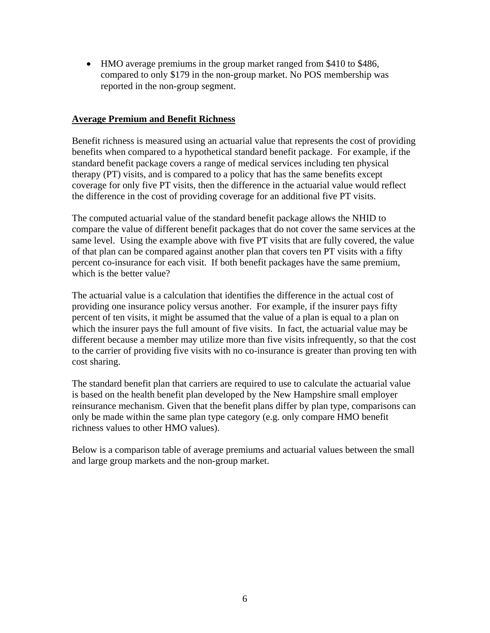HMO average premiums in the group market ranged from \$410 to \$486, compared to only \$179 in the non-group market. No POS membership was reported in the non-group segment.

#### **Average Premium and Benefit Richness**

Benefit richness is measured using an actuarial value that represents the cost of providing benefits when compared to a hypothetical standard benefit package. For example, if the standard benefit package covers a range of medical services including ten physical therapy (PT) visits, and is compared to a policy that has the same benefits except coverage for only five PT visits, then the difference in the actuarial value would reflect the difference in the cost of providing coverage for an additional five PT visits.

The computed actuarial value of the standard benefit package allows the NHID to compare the value of different benefit packages that do not cover the same services at the same level. Using the example above with five PT visits that are fully covered, the value of that plan can be compared against another plan that covers ten PT visits with a fifty percent co-insurance for each visit. If both benefit packages have the same premium, which is the better value?

The actuarial value is a calculation that identifies the difference in the actual cost of providing one insurance policy versus another. For example, if the insurer pays fifty percent of ten visits, it might be assumed that the value of a plan is equal to a plan on which the insurer pays the full amount of five visits. In fact, the actuarial value may be different because a member may utilize more than five visits infrequently, so that the cost to the carrier of providing five visits with no co-insurance is greater than proving ten with cost sharing.

The standard benefit plan that carriers are required to use to calculate the actuarial value is based on the health benefit plan developed by the New Hampshire small employer reinsurance mechanism. Given that the benefit plans differ by plan type, comparisons can only be made within the same plan type category (e.g. only compare HMO benefit richness values to other HMO values).

Below is a comparison table of average premiums and actuarial values between the small and large group markets and the non-group market.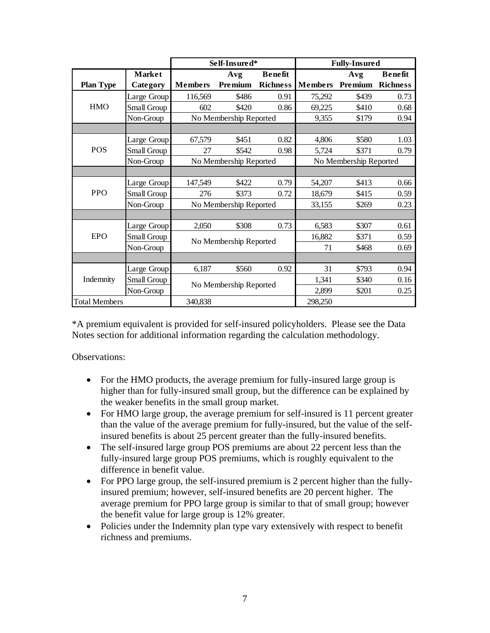|                      |               |                | Self-Insured*          |                 |                        | <b>Fully-Insured</b> |                 |  |
|----------------------|---------------|----------------|------------------------|-----------------|------------------------|----------------------|-----------------|--|
|                      | <b>Market</b> |                | Avg                    | <b>Benefit</b>  |                        | Avg                  | <b>Benefit</b>  |  |
| <b>Plan Type</b>     | Category      | <b>Members</b> | Premium                | <b>Richness</b> | <b>Members</b>         | Premium              | <b>Richness</b> |  |
|                      | Large Group   | 116,569        | \$486                  | 0.91            | 75,292                 | \$439                | 0.73            |  |
| <b>HMO</b>           | Small Group   | 602            | \$420                  | 0.86            | 69,225                 | \$410                | 0.68            |  |
|                      | Non-Group     |                | No Membership Reported |                 | 9,355                  | \$179                | 0.94            |  |
|                      |               |                |                        |                 |                        |                      |                 |  |
|                      | Large Group   | 67,579         | \$451                  | 0.82            | 4,806                  | \$580                | 1.03            |  |
| POS                  | Small Group   | 27             | \$542                  | 0.98            | 5,724                  | \$371                | 0.79            |  |
|                      | Non-Group     |                | No Membership Reported |                 | No Membership Reported |                      |                 |  |
|                      |               |                |                        |                 |                        |                      |                 |  |
|                      | Large Group   | 147,549        | \$422                  | 0.79            | 54,207                 | \$413                | 0.66            |  |
| <b>PPO</b>           | Small Group   | 276            | \$373                  | 0.72            | 18,679                 | \$415                | 0.59            |  |
|                      | Non-Group     |                | No Membership Reported |                 | 33,155                 | \$269                | 0.23            |  |
|                      |               |                |                        |                 |                        |                      |                 |  |
|                      | Large Group   | 2,050          | \$308                  | 0.73            | 6,583                  | \$307                | 0.61            |  |
| EPO                  | Small Group   |                | No Membership Reported |                 | 16,882                 | \$371                | 0.59            |  |
|                      | Non-Group     |                |                        |                 | 71                     | \$468                | 0.69            |  |
|                      |               |                |                        |                 |                        |                      |                 |  |
|                      | Large Group   | 6,187          | \$560                  | 0.92            | 31                     | \$793                | 0.94            |  |
| Indemnity            | Small Group   |                | No Membership Reported |                 | 1,341                  | \$340                | 0.16            |  |
|                      | Non-Group     |                |                        |                 | 2,899                  | \$201                | 0.25            |  |
| <b>Total Members</b> |               | 340,838        |                        |                 | 298,250                |                      |                 |  |

\*A premium equivalent is provided for self-insured policyholders. Please see the Data Notes section for additional information regarding the calculation methodology.

Observations:

- For the HMO products, the average premium for fully-insured large group is higher than for fully-insured small group, but the difference can be explained by the weaker benefits in the small group market.
- For HMO large group, the average premium for self-insured is 11 percent greater than the value of the average premium for fully-insured, but the value of the selfinsured benefits is about 25 percent greater than the fully-insured benefits.
- The self-insured large group POS premiums are about 22 percent less than the fully-insured large group POS premiums, which is roughly equivalent to the difference in benefit value.
- For PPO large group, the self-insured premium is 2 percent higher than the fullyinsured premium; however, self-insured benefits are 20 percent higher. The average premium for PPO large group is similar to that of small group; however the benefit value for large group is 12% greater.
- Policies under the Indemnity plan type vary extensively with respect to benefit richness and premiums.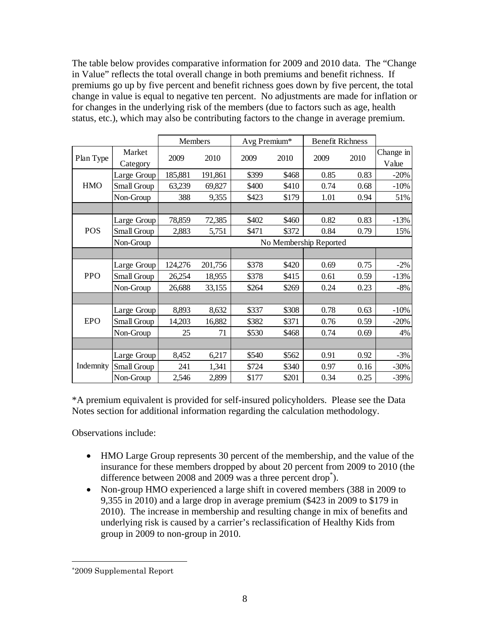The table below provides comparative information for 2009 and 2010 data. The "Change in Value" reflects the total overall change in both premiums and benefit richness. If premiums go up by five percent and benefit richness goes down by five percent, the total change in value is equal to negative ten percent. No adjustments are made for inflation or for changes in the underlying risk of the members (due to factors such as age, health status, etc.), which may also be contributing factors to the change in average premium.

|            |                    | Members                |         | Avg Premium* |       | <b>Benefit Richness</b> |      |                    |  |  |  |  |
|------------|--------------------|------------------------|---------|--------------|-------|-------------------------|------|--------------------|--|--|--|--|
| Plan Type  | Market<br>Category | 2009                   | 2010    | 2009         | 2010  | 2009                    | 2010 | Change in<br>Value |  |  |  |  |
|            | Large Group        | 185,881                | 191,861 | \$399        | \$468 | 0.85                    | 0.83 | $-20%$             |  |  |  |  |
| <b>HMO</b> | Small Group        | 63,239                 | 69,827  | \$400        | \$410 | 0.74                    | 0.68 | $-10%$             |  |  |  |  |
|            | Non-Group          | 388                    | 9,355   | \$423        | \$179 | 1.01                    | 0.94 | 51%                |  |  |  |  |
|            |                    |                        |         |              |       |                         |      |                    |  |  |  |  |
|            | Large Group        | 78,859                 | 72,385  | \$402        | \$460 | 0.82                    | 0.83 | $-13%$             |  |  |  |  |
| <b>POS</b> | Small Group        | 2,883                  | 5,751   | \$471        | \$372 | 0.84                    | 0.79 | 15%                |  |  |  |  |
|            | Non-Group          | No Membership Reported |         |              |       |                         |      |                    |  |  |  |  |
|            |                    |                        |         |              |       |                         |      |                    |  |  |  |  |
|            | Large Group        | 124,276                | 201,756 | \$378        | \$420 | 0.69                    | 0.75 | $-2%$              |  |  |  |  |
| <b>PPO</b> | Small Group        | 26,254                 | 18,955  | \$378        | \$415 | 0.61                    | 0.59 | $-13%$             |  |  |  |  |
|            | Non-Group          | 26,688                 | 33,155  | \$264        | \$269 | 0.24                    | 0.23 | $-8%$              |  |  |  |  |
|            |                    |                        |         |              |       |                         |      |                    |  |  |  |  |
|            | Large Group        | 8,893                  | 8,632   | \$337        | \$308 | 0.78                    | 0.63 | $-10%$             |  |  |  |  |
| <b>EPO</b> | Small Group        | 14,203                 | 16,882  | \$382        | \$371 | 0.76                    | 0.59 | $-20%$             |  |  |  |  |
|            | Non-Group          | 25                     | 71      | \$530        | \$468 | 0.74                    | 0.69 | 4%                 |  |  |  |  |
|            |                    |                        |         |              |       |                         |      |                    |  |  |  |  |
|            | Large Group        | 8,452                  | 6,217   | \$540        | \$562 | 0.91                    | 0.92 | $-3%$              |  |  |  |  |
| Indemnity  | Small Group        | 241                    | 1,341   | \$724        | \$340 | 0.97                    | 0.16 | $-30%$             |  |  |  |  |
|            | Non-Group          | 2,546                  | 2,899   | \$177        | \$201 | 0.34                    | 0.25 | $-39%$             |  |  |  |  |

\*A premium equivalent is provided for self-insured policyholders. Please see the Data Notes section for additional information regarding the calculation methodology.

Observations include:

- HMO Large Group represents 30 percent of the membership, and the value of the insurance for these members dropped by about 20 percent from 2009 to 2010 (the difference between 2008 and 2009 was a three percent drop<sup>\*</sup>).
- Non-group HMO experienced a large shift in covered members (388 in 2009 to 9,355 in 2010) and a large drop in average premium (\$423 in 2009 to \$179 in 2010). The increase in membership and resulting change in mix of benefits and underlying risk is caused by a carrier's reclassification of Healthy Kids from group in 2009 to non-group in 2010.

 $\overline{a}$ 

<sup>\*2009</sup> Supplemental Report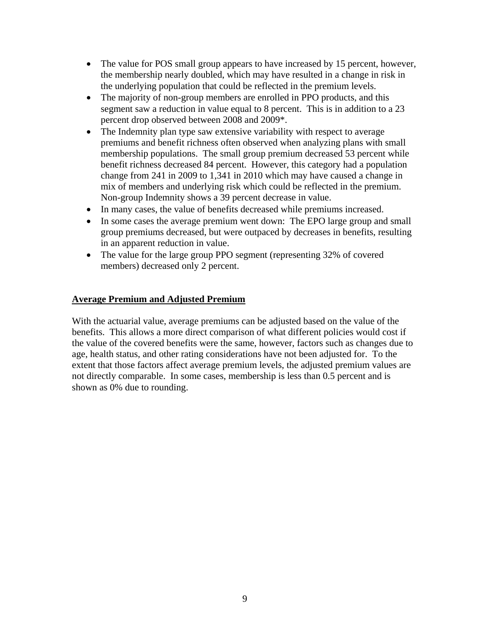- The value for POS small group appears to have increased by 15 percent, however, the membership nearly doubled, which may have resulted in a change in risk in the underlying population that could be reflected in the premium levels.
- The majority of non-group members are enrolled in PPO products, and this segment saw a reduction in value equal to 8 percent. This is in addition to a 23 percent drop observed between 2008 and 2009\*.
- The Indemnity plan type saw extensive variability with respect to average premiums and benefit richness often observed when analyzing plans with small membership populations. The small group premium decreased 53 percent while benefit richness decreased 84 percent. However, this category had a population change from 241 in 2009 to 1,341 in 2010 which may have caused a change in mix of members and underlying risk which could be reflected in the premium. Non-group Indemnity shows a 39 percent decrease in value.
- In many cases, the value of benefits decreased while premiums increased.
- In some cases the average premium went down: The EPO large group and small group premiums decreased, but were outpaced by decreases in benefits, resulting in an apparent reduction in value.
- The value for the large group PPO segment (representing 32% of covered members) decreased only 2 percent.

## **Average Premium and Adjusted Premium**

With the actuarial value, average premiums can be adjusted based on the value of the benefits. This allows a more direct comparison of what different policies would cost if the value of the covered benefits were the same, however, factors such as changes due to age, health status, and other rating considerations have not been adjusted for. To the extent that those factors affect average premium levels, the adjusted premium values are not directly comparable. In some cases, membership is less than 0.5 percent and is shown as 0% due to rounding.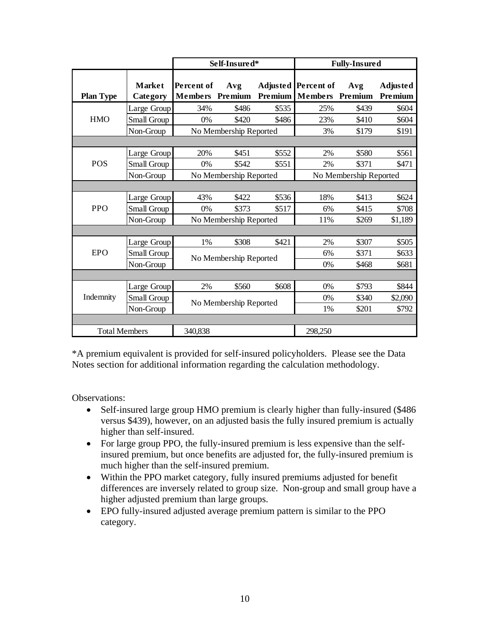|                      |                           |                              | Self-Insured*          |         |                                       | <b>Fully-Insured</b> |                            |
|----------------------|---------------------------|------------------------------|------------------------|---------|---------------------------------------|----------------------|----------------------------|
| <b>Plan Type</b>     | <b>Market</b><br>Category | Percent of<br><b>Members</b> | Avg<br>Premium         | Premium | Adjusted Percent of<br><b>Members</b> | Avg<br>Premium       | <b>Adjusted</b><br>Premium |
|                      | Large Group               | 34%                          | \$486                  | \$535   | 25%                                   | \$439                | \$604                      |
| <b>HMO</b>           | Small Group               | 0%                           | \$420                  | \$486   | 23%                                   | \$410                | \$604                      |
|                      | Non-Group                 |                              | No Membership Reported |         | 3%                                    | \$179                | \$191                      |
|                      |                           |                              |                        |         |                                       |                      |                            |
|                      | Large Group               | 20%                          | \$451                  | \$552   | 2%                                    | \$580                | \$561                      |
| <b>POS</b>           | Small Group               | 0%                           | \$542                  | \$551   | 2%                                    | \$371                | \$471                      |
|                      | Non-Group                 |                              | No Membership Reported |         | No Membership Reported                |                      |                            |
|                      |                           |                              |                        |         |                                       |                      |                            |
|                      | Large Group               | 43%                          | \$422                  | \$536   | 18%                                   | \$413                | \$624                      |
| <b>PPO</b>           | Small Group               | 0%                           | \$373                  | \$517   | 6%                                    | \$415                | \$708                      |
|                      | Non-Group                 |                              | No Membership Reported |         | 11%                                   | \$269                | \$1,189                    |
|                      |                           |                              |                        |         |                                       |                      |                            |
|                      | Large Group               | 1%                           | \$308                  | \$421   | 2%                                    | \$307                | \$505                      |
| <b>EPO</b>           | Small Group               |                              | No Membership Reported |         | 6%                                    | \$371                | \$633                      |
|                      | Non-Group                 |                              |                        |         | 0%                                    | \$468                | \$681                      |
|                      |                           |                              |                        |         |                                       |                      |                            |
|                      | Large Group               | 2%                           | \$560                  | \$608   | 0%                                    | \$793                | \$844                      |
| Indemnity            | Small Group               |                              | No Membership Reported |         | 0%                                    | \$340                | \$2,090                    |
|                      | Non-Group                 |                              |                        |         | 1%                                    | \$201                | \$792                      |
|                      |                           |                              |                        |         |                                       |                      |                            |
| <b>Total Members</b> |                           | 340,838                      |                        |         | 298,250                               |                      |                            |

\*A premium equivalent is provided for self-insured policyholders. Please see the Data Notes section for additional information regarding the calculation methodology.

Observations:

- Self-insured large group HMO premium is clearly higher than fully-insured (\$486) versus \$439), however, on an adjusted basis the fully insured premium is actually higher than self-insured.
- For large group PPO, the fully-insured premium is less expensive than the selfinsured premium, but once benefits are adjusted for, the fully-insured premium is much higher than the self-insured premium.
- Within the PPO market category, fully insured premiums adjusted for benefit differences are inversely related to group size. Non-group and small group have a higher adjusted premium than large groups.
- EPO fully-insured adjusted average premium pattern is similar to the PPO category.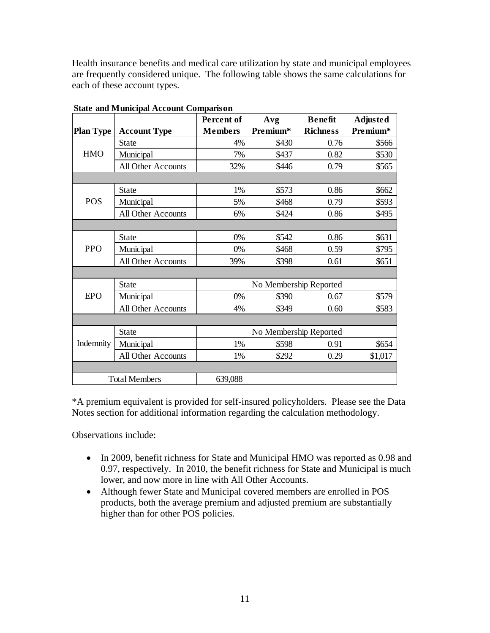Health insurance benefits and medical care utilization by state and municipal employees are frequently considered unique. The following table shows the same calculations for each of these account types.

|                  |                           | Percent of     | Avg                    | <b>Benefit</b>  | <b>Adjusted</b> |
|------------------|---------------------------|----------------|------------------------|-----------------|-----------------|
| <b>Plan Type</b> | <b>Account Type</b>       | <b>Members</b> | Premium*               | <b>Richness</b> | Premium*        |
|                  | <b>State</b>              | 4%             | \$430                  | 0.76            | \$566           |
| <b>HMO</b>       | Municipal                 | 7%             | \$437                  | 0.82            | \$530           |
|                  | <b>All Other Accounts</b> | 32%            | \$446                  | 0.79            | \$565           |
|                  |                           |                |                        |                 |                 |
|                  | <b>State</b>              | 1%             | \$573                  | 0.86            | \$662           |
| <b>POS</b>       | Municipal                 | 5%             | \$468                  | 0.79            | \$593           |
|                  | All Other Accounts        | 6%             | \$424                  | 0.86            | \$495           |
|                  |                           |                |                        |                 |                 |
|                  | <b>State</b>              | 0%             | \$542                  | 0.86            | \$631           |
| <b>PPO</b>       | Municipal                 | 0%             | \$468                  | 0.59            | \$795           |
|                  | <b>All Other Accounts</b> | 39%            | \$398                  | 0.61            | \$651           |
|                  |                           |                |                        |                 |                 |
|                  | <b>State</b>              |                | No Membership Reported |                 |                 |
| <b>EPO</b>       | Municipal                 | 0%             | \$390                  | 0.67            | \$579           |
|                  | All Other Accounts        | 4%             | \$349                  | 0.60            | \$583           |
|                  |                           |                |                        |                 |                 |
|                  | <b>State</b>              |                | No Membership Reported |                 |                 |
| Indemnity        | Municipal                 | 1%             | \$598                  | 0.91            | \$654           |
|                  | All Other Accounts        | 1%             | \$292                  | 0.29            | \$1,017         |
|                  |                           |                |                        |                 |                 |
|                  | <b>Total Members</b>      | 639,088        |                        |                 |                 |

**State and Municipal Account Comparison**

\*A premium equivalent is provided for self-insured policyholders. Please see the Data Notes section for additional information regarding the calculation methodology.

Observations include:

- In 2009, benefit richness for State and Municipal HMO was reported as 0.98 and 0.97, respectively. In 2010, the benefit richness for State and Municipal is much lower, and now more in line with All Other Accounts.
- Although fewer State and Municipal covered members are enrolled in POS products, both the average premium and adjusted premium are substantially higher than for other POS policies.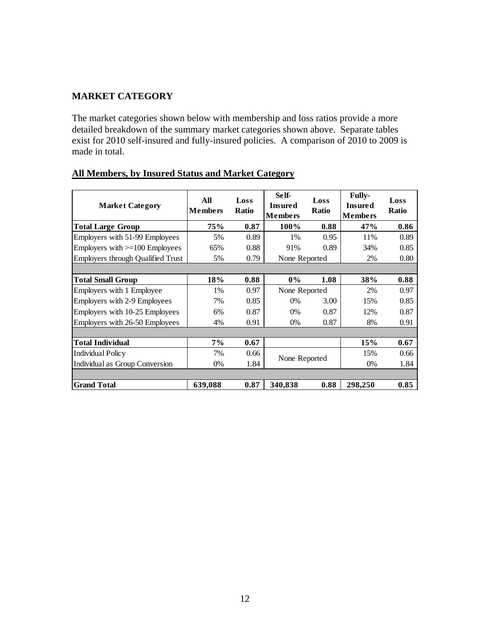## **MARKET CATEGORY**

The market categories shown below with membership and loss ratios provide a more detailed breakdown of the summary market categories shown above. Separate tables exist for 2010 self-insured and fully-insured policies. A comparison of 2010 to 2009 is made in total.

| <b>Market Category</b>                   | All<br><b>Members</b> | Loss<br><b>Ratio</b> | Se lf-<br><b>Insured</b><br><b>Members</b> | Loss<br><b>Ratio</b> | <b>Fully-</b><br><b>Insured</b><br><b>Members</b> | Loss<br><b>Ratio</b> |
|------------------------------------------|-----------------------|----------------------|--------------------------------------------|----------------------|---------------------------------------------------|----------------------|
| <b>Total Large Group</b>                 | <b>75%</b>            | 0.87                 | 100%                                       | 0.88                 | 47%                                               | 0.86                 |
| Employers with 51-99 Employees           | 5%                    | 0.89                 | 1%                                         | 0.95                 | 11%                                               | 0.89                 |
| Employers with $>=100$ Employees         | 65%                   | 0.88                 | 91%                                        | 0.89                 | 34%                                               | 0.85                 |
| <b>Employers through Qualified Trust</b> | 5%                    | 0.79                 | None Reported                              |                      | 2%                                                | 0.80                 |
|                                          |                       |                      |                                            |                      |                                                   |                      |
| <b>Total Small Group</b>                 | 18%                   | 0.88                 | $0\%$                                      | 1.08                 | 38%                                               | 0.88                 |
| Employers with 1 Employee                | 1%                    | 0.97                 | None Reported                              |                      | 2%                                                | 0.97                 |
| Employers with 2-9 Employees             | 7%                    | 0.85                 | $0\%$                                      | 3.00                 | 15%                                               | 0.85                 |
| Employers with 10-25 Employees           | 6%                    | 0.87                 | 0%                                         | 0.87                 | 12%                                               | 0.87                 |
| Employers with 26-50 Employees           | 4%                    | 0.91                 | $0\%$                                      | 0.87                 | 8%                                                | 0.91                 |
|                                          |                       |                      |                                            |                      |                                                   |                      |
| <b>Total Individual</b>                  | $7\%$                 | 0.67                 |                                            |                      | 15%                                               | 0.67                 |
| <b>Individual Policy</b>                 | 7%                    | 0.66                 |                                            |                      | 15%                                               | 0.66                 |
| Individual as Group Conversion           | $0\%$                 | 1.84                 | None Reported                              |                      | $0\%$                                             | 1.84                 |
|                                          |                       |                      |                                            |                      |                                                   |                      |
| <b>Grand Total</b>                       | 639,088               | 0.87                 | 340,838                                    | 0.88                 | 298,250                                           | 0.85                 |

## **All Members, by Insured Status and Market Category**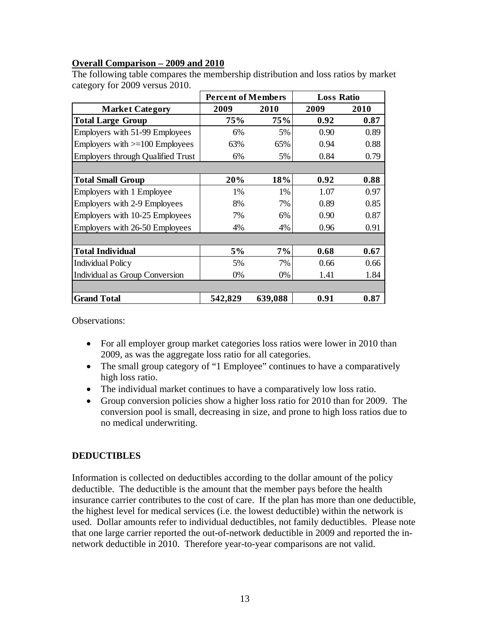## **Overall Comparison – 2009 and 2010**

|                                          | <b>Percent of Members</b> |         | <b>Loss Ratio</b> |      |
|------------------------------------------|---------------------------|---------|-------------------|------|
| <b>Market Category</b>                   | 2009                      | 2010    | 2009              | 2010 |
| <b>Total Large Group</b>                 | 75%                       | 75%     | 0.92              | 0.87 |
| Employers with 51-99 Employees           | 6%                        | 5%      | 0.90              | 0.89 |
| Employers with $>=100$ Employees         | 63%                       | 65%     | 0.94              | 0.88 |
| <b>Employers through Qualified Trust</b> | 6%                        | 5%      | 0.84              | 0.79 |
|                                          |                           |         |                   |      |
| <b>Total Small Group</b>                 | 20%                       | 18%     | 0.92              | 0.88 |
| Employers with 1 Employee                | 1%                        | 1%      | 1.07              | 0.97 |
| Employers with 2-9 Employees             | 8%                        | 7%      | 0.89              | 0.85 |
| Employers with 10-25 Employees           | 7%                        | 6%      | 0.90              | 0.87 |
| Employers with 26-50 Employees           | 4%                        | 4%      | 0.96              | 0.91 |
|                                          |                           |         |                   |      |
| <b>Total Individual</b>                  | 5%                        | 7%      | 0.68              | 0.67 |
| <b>Individual Policy</b>                 | 5%                        | 7%      | 0.66              | 0.66 |
| Individual as Group Conversion           | 0%                        | 0%      | 1.41              | 1.84 |
|                                          |                           |         |                   |      |
| <b>Grand Total</b>                       | 542,829                   | 639,088 | 0.91              | 0.87 |

The following table compares the membership distribution and loss ratios by market category for 2009 versus 2010.

Observations:

- For all employer group market categories loss ratios were lower in 2010 than 2009, as was the aggregate loss ratio for all categories.
- The small group category of "1 Employee" continues to have a comparatively high loss ratio.
- The individual market continues to have a comparatively low loss ratio.
- Group conversion policies show a higher loss ratio for 2010 than for 2009. The conversion pool is small, decreasing in size, and prone to high loss ratios due to no medical underwriting.

## **DEDUCTIBLES**

Information is collected on deductibles according to the dollar amount of the policy deductible. The deductible is the amount that the member pays before the health insurance carrier contributes to the cost of care. If the plan has more than one deductible, the highest level for medical services (i.e. the lowest deductible) within the network is used. Dollar amounts refer to individual deductibles, not family deductibles. Please note that one large carrier reported the out-of-network deductible in 2009 and reported the innetwork deductible in 2010. Therefore year-to-year comparisons are not valid.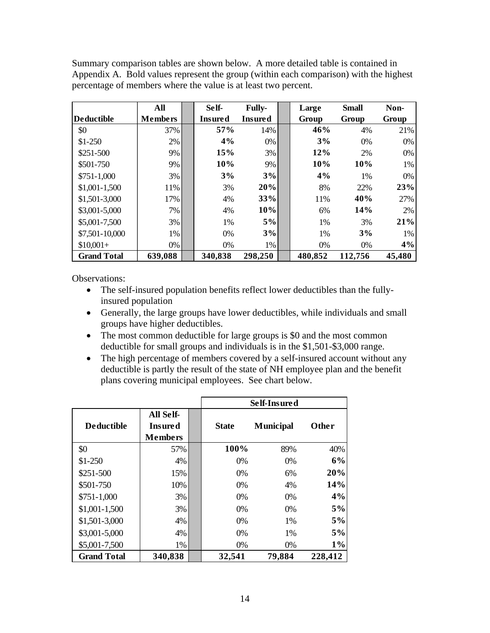Summary comparison tables are shown below. A more detailed table is contained in Appendix A. Bold values represent the group (within each comparison) with the highest percentage of members where the value is at least two percent.

|                    | All            | Self-          | <b>Fully-</b>  | Large   | <b>Small</b> | Non-   |
|--------------------|----------------|----------------|----------------|---------|--------------|--------|
| <b>Deductible</b>  | <b>Members</b> | <b>Insured</b> | <b>Insured</b> | Group   | Group        | Group  |
| \$0                | 37%            | 57%            | 14%            | 46%     | 4%           | 21%    |
| $$1-250$           | $2\%$          | 4%             | 0%             | 3%      | 0%           | 0%     |
| \$251-500          | 9%             | 15%            | 3%             | 12%     | 2%           | 0%     |
| \$501-750          | 9%             | 10%            | 9%             | 10%     | 10%          | 1%     |
| $$751-1,000$       | 3%             | 3%             | 3%             | 4%      | 1%           | 0%     |
| $$1,001-1,500$     | 11%            | 3%             | 20%            | 8%      | 22%          | 23%    |
| \$1,501-3,000      | 17%            | 4%             | 33%            | 11%     | 40%          | 27%    |
| \$3,001-5,000      | $7\%$          | 4%             | 10%            | 6%      | 14%          | 2%     |
| \$5,001-7,500      | $3\%$          | 1%             | 5%             | 1%      | 3%           | 21%    |
| \$7,501-10,000     | 1%             | 0%             | 3%             | 1%      | 3%           | 1%     |
| $$10,001+$         | $0\%$          | $0\%$          | 1%             | 0%      | 0%           | 4%     |
| <b>Grand Total</b> | 639,088        | 340,838        | 298,250        | 480,852 | 112,756      | 45,480 |

Observations:

- The self-insured population benefits reflect lower deductibles than the fullyinsured population
- Generally, the large groups have lower deductibles, while individuals and small groups have higher deductibles.
- The most common deductible for large groups is \$0 and the most common deductible for small groups and individuals is in the \$1,501-\$3,000 range.
- The high percentage of members covered by a self-insured account without any deductible is partly the result of the state of NH employee plan and the benefit plans covering municipal employees. See chart below.

|                    |                                               |              | Self-Insured     |         |
|--------------------|-----------------------------------------------|--------------|------------------|---------|
| <b>Deductible</b>  | All Self-<br><b>Insured</b><br><b>Members</b> | <b>State</b> | <b>Municipal</b> | Other   |
| \$0                | 57%                                           | 100%         | 89%              | 40%     |
| $$1-250$           | 4%                                            | 0%           | 0%               | 6%      |
| \$251-500          | 15%                                           | 0%           | 6%               | 20%     |
| \$501-750          | 10%                                           | 0%           | 4%               | 14%     |
| $$751-1,000$       | 3%                                            | 0%           | 0%               | 4%      |
| \$1,001-1,500      | 3%                                            | 0%           | 0%               | $5\%$   |
| \$1,501-3,000      | 4%                                            | 0%           | 1%               | 5%      |
| \$3,001-5,000      | 4%                                            | 0%           | 1%               | $5\%$   |
| \$5,001-7,500      | 1%                                            | 0%           | 0%               | $1\%$   |
| <b>Grand Total</b> | 340,838                                       | 32,541       | 79,884           | 228,412 |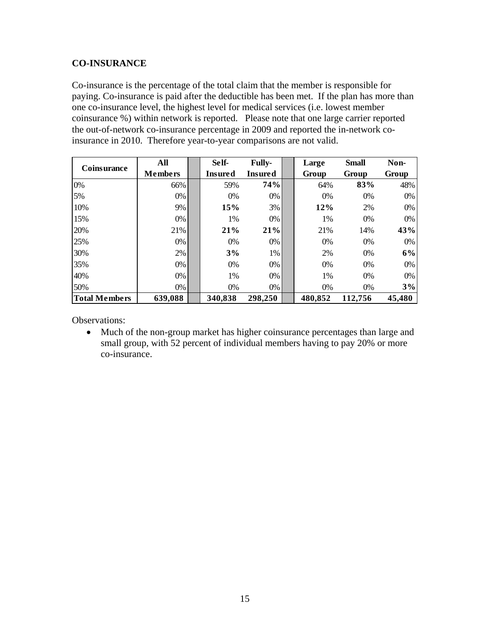#### **CO-INSURANCE**

Co-insurance is the percentage of the total claim that the member is responsible for paying. Co-insurance is paid after the deductible has been met. If the plan has more than one co-insurance level, the highest level for medical services (i.e. lowest member coinsurance %) within network is reported. Please note that one large carrier reported the out-of-network co-insurance percentage in 2009 and reported the in-network coinsurance in 2010. Therefore year-to-year comparisons are not valid.

| Coinsurance          | All            | Self-          | <b>Fully-</b>  | Large   | <b>Small</b> | Non-   |
|----------------------|----------------|----------------|----------------|---------|--------------|--------|
|                      | <b>Members</b> | <b>Insured</b> | <b>Insured</b> | Group   | Group        | Group  |
| 0%                   | 66%            | 59%            | 74%            | 64%     | 83%          | 48%    |
| 5%                   | $0\%$          | 0%             | 0%             | 0%      | 0%           | 0%     |
| 10%                  | 9%             | 15%            | 3%             | 12%     | 2%           | 0%     |
| 15%                  | $0\%$          | 1%             | 0%             | 1%      | 0%           | 0%     |
| 20%                  | 21%            | 21%            | 21%            | 21%     | 14%          | 43%    |
| 25%                  | $0\%$          | 0%             | 0%             | 0%      | 0%           | 0%     |
| 30%                  | $2\%$          | 3%             | 1%             | 2%      | 0%           | 6%     |
| 35%                  | $0\%$          | 0%             | 0%             | 0%      | 0%           | 0%     |
| 40%                  | $0\%$          | 1%             | 0%             | 1%      | 0%           | 0%     |
| 50%                  | $0\%$          | 0%             | 0%             | 0%      | 0%           | 3%     |
| <b>Total Members</b> | 639,088        | 340,838        | 298,250        | 480,852 | 112,756      | 45,480 |

Observations:

• Much of the non-group market has higher coinsurance percentages than large and small group, with 52 percent of individual members having to pay 20% or more co-insurance.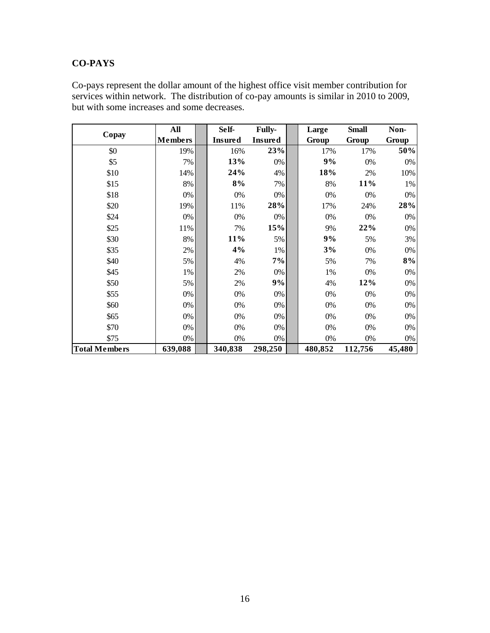# **CO-PAYS**

Co-pays represent the dollar amount of the highest office visit member contribution for services within network. The distribution of co-pay amounts is similar in 2010 to 2009, but with some increases and some decreases.

|                      | All            | Self-          | <b>Fully-</b>  | Large   | <b>Small</b> | Non-   |
|----------------------|----------------|----------------|----------------|---------|--------------|--------|
| Copay                | <b>Members</b> | <b>Insured</b> | <b>Insured</b> | Group   | Group        | Group  |
| \$0                  | 19%            | 16%            | 23%            | 17%     | 17%          | 50%    |
| \$5                  | 7%             | 13%            | 0%             | 9%      | 0%           | 0%     |
| \$10                 | 14%            | 24%            | 4%             | 18%     | 2%           | 10%    |
| \$15                 | 8%             | 8%             | 7%             | 8%      | 11%          | 1%     |
| \$18                 | 0%             | 0%             | 0%             | 0%      | 0%           | $0\%$  |
| \$20                 | 19%            | 11%            | 28%            | 17%     | 24%          | 28%    |
| \$24                 | 0%             | 0%             | 0%             | 0%      | 0%           | $0\%$  |
| \$25                 | 11%            | 7%             | 15%            | 9%      | 22%          | 0%     |
| \$30                 | 8%             | 11%            | 5%             | 9%      | 5%           | 3%     |
| \$35                 | 2%             | 4%             | 1%             | 3%      | 0%           | 0%     |
| \$40                 | 5%             | 4%             | 7%             | 5%      | 7%           | 8%     |
| \$45                 | 1%             | 2%             | 0%             | 1%      | 0%           | $0\%$  |
| \$50                 | 5%             | 2%             | 9%             | 4%      | 12%          | $0\%$  |
| \$55                 | 0%             | 0%             | 0%             | 0%      | 0%           | 0%     |
| \$60                 | 0%             | 0%             | 0%             | 0%      | 0%           | 0%     |
| \$65                 | 0%             | 0%             | 0%             | 0%      | 0%           | 0%     |
| \$70                 | 0%             | 0%             | 0%             | 0%      | 0%           | 0%     |
| \$75                 | 0%             | 0%             | 0%             | 0%      | 0%           | 0%     |
| <b>Total Members</b> | 639,088        | 340,838        | 298,250        | 480,852 | 112,756      | 45,480 |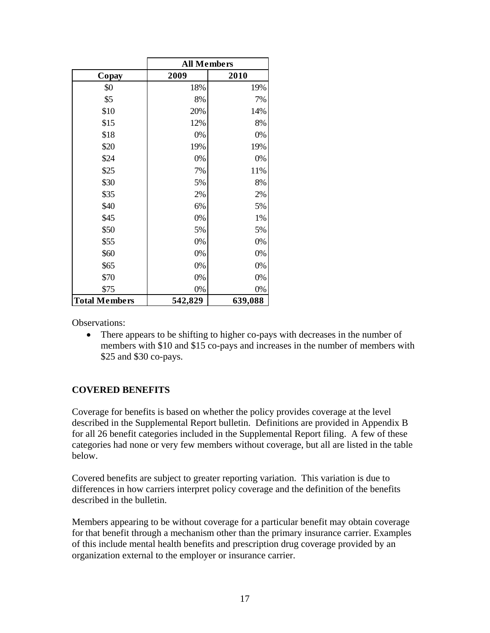|                      | <b>All Members</b> |         |
|----------------------|--------------------|---------|
| Copay                | 2009               | 2010    |
| \$0                  | 18%                | 19%     |
| \$5                  | 8%                 | 7%      |
| \$10                 | 20%                | 14%     |
| \$15                 | 12%                | 8%      |
| \$18                 | 0%                 | 0%      |
| \$20                 | 19%                | 19%     |
| \$24                 | 0%                 | 0%      |
| \$25                 | 7%                 | 11%     |
| \$30                 | 5%                 | 8%      |
| \$35                 | 2%                 | 2%      |
| \$40                 | 6%                 | 5%      |
| \$45                 | 0%                 | 1%      |
| \$50                 | 5%                 | 5%      |
| \$55                 | 0%                 | 0%      |
| \$60                 | 0%                 | 0%      |
| \$65                 | 0%                 | 0%      |
| \$70                 | 0%                 | 0%      |
| \$75                 | 0%                 | 0%      |
| <b>Total Members</b> | 542,829            | 639,088 |

Observations:

 There appears to be shifting to higher co-pays with decreases in the number of members with \$10 and \$15 co-pays and increases in the number of members with \$25 and \$30 co-pays.

#### **COVERED BENEFITS**

Coverage for benefits is based on whether the policy provides coverage at the level described in the Supplemental Report bulletin. Definitions are provided in Appendix B for all 26 benefit categories included in the Supplemental Report filing. A few of these categories had none or very few members without coverage, but all are listed in the table below.

Covered benefits are subject to greater reporting variation. This variation is due to differences in how carriers interpret policy coverage and the definition of the benefits described in the bulletin.

Members appearing to be without coverage for a particular benefit may obtain coverage for that benefit through a mechanism other than the primary insurance carrier. Examples of this include mental health benefits and prescription drug coverage provided by an organization external to the employer or insurance carrier.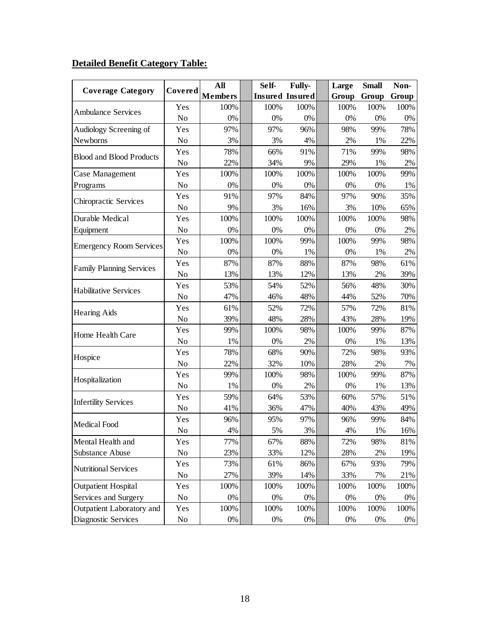# **Detailed Benefit Category Table:**

|                                 |         | All            |  | Self- | <b>Fully-</b>          | Large | <b>Small</b> | Non-  |
|---------------------------------|---------|----------------|--|-------|------------------------|-------|--------------|-------|
| <b>Coverage Category</b>        | Covered | <b>Members</b> |  |       | <b>Insured Insured</b> | Group | Group        | Group |
| <b>Ambulance Services</b>       | Yes     | 100%           |  | 100%  | 100%                   | 100%  | 100%         | 100%  |
|                                 | No      | 0%             |  | 0%    | $0\%$                  | 0%    | 0%           | 0%    |
| Audiology Screening of          | Yes     | 97%            |  | 97%   | 96%                    | 98%   | 99%          | 78%   |
| Newborns                        | No      | 3%             |  | 3%    | 4%                     | $2\%$ | 1%           | 22%   |
| <b>Blood and Blood Products</b> | Yes     | 78%            |  | 66%   | 91%                    | 71%   | 99%          | 98%   |
|                                 | No      | 22%            |  | 34%   | 9%                     | 29%   | 1%           | 2%    |
| Case Management                 | Yes     | 100%           |  | 100%  | 100%                   | 100%  | 100%         | 99%   |
| Programs                        | No      | 0%             |  | 0%    | $0\%$                  | 0%    | 0%           | 1%    |
| Chiropractic Services           | Yes     | 91%            |  | 97%   | 84%                    | 97%   | 90%          | 35%   |
|                                 | No      | 9%             |  | 3%    | 16%                    | 3%    | 10%          | 65%   |
| Durable Medical                 | Yes     | 100%           |  | 100%  | 100%                   | 100%  | 100%         | 98%   |
| Equipment                       | No      | 0%             |  | 0%    | 0%                     | 0%    | 0%           | 2%    |
| <b>Emergency Room Services</b>  | Yes     | 100%           |  | 100%  | 99%                    | 100%  | 99%          | 98%   |
|                                 | No      | 0%             |  | 0%    | 1%                     | 0%    | 1%           | 2%    |
| <b>Family Planning Services</b> | Yes     | 87%            |  | 87%   | 88%                    | 87%   | 98%          | 61%   |
|                                 | No      | 13%            |  | 13%   | 12%                    | 13%   | 2%           | 39%   |
| <b>Habilitative Services</b>    | Yes     | 53%            |  | 54%   | 52%                    | 56%   | 48%          | 30%   |
|                                 | No      | 47%            |  | 46%   | 48%                    | 44%   | 52%          | 70%   |
|                                 | Yes     | 61%            |  | 52%   | 72%                    | 57%   | 72%          | 81%   |
| <b>Hearing Aids</b>             | No      | 39%            |  | 48%   | 28%                    | 43%   | 28%          | 19%   |
| Home Health Care                | Yes     | 99%            |  | 100%  | 98%                    | 100%  | 99%          | 87%   |
|                                 | No      | 1%             |  | 0%    | 2%                     | 0%    | 1%           | 13%   |
|                                 | Yes     | 78%            |  | 68%   | 90%                    | 72%   | 98%          | 93%   |
| Hospice                         | No      | 22%            |  | 32%   | 10%                    | 28%   | 2%           | 7%    |
| Hospitalization                 | Yes     | 99%            |  | 100%  | 98%                    | 100%  | 99%          | 87%   |
|                                 | No      | 1%             |  | 0%    | 2%                     | 0%    | 1%           | 13%   |
| <b>Infertility Services</b>     | Yes     | 59%            |  | 64%   | 53%                    | 60%   | 57%          | 51%   |
|                                 | No      | 41%            |  | 36%   | 47%                    | 40%   | 43%          | 49%   |
| Medical Food                    | Yes     | 96%            |  | 95%   | 97%                    | 96%   | 99%          | 84%   |
|                                 | No      | 4%             |  | 5%    | 3%                     | 4%    | 1%           | 16%   |
| Mental Health and               | Yes     | 77%            |  | 67%   | 88%                    | 72%   | 98%          | 81%   |
| Substance Abuse                 | No      | 23%            |  | 33%   | 12%                    | 28%   | 2%           | 19%   |
|                                 | Yes     | 73%            |  | 61%   | 86%                    | 67%   | 93%          | 79%   |
| <b>Nutritional Services</b>     | No      | 27%            |  | 39%   | 14%                    | 33%   | 7%           | 21%   |
| <b>Outpatient Hospital</b>      | Yes     | 100%           |  | 100%  | 100%                   | 100%  | 100%         | 100%  |
| Services and Surgery            | No      | 0%             |  | 0%    | 0%                     | 0%    | $0\%$        | 0%    |
| Outpatient Laboratory and       | Yes     | 100%           |  | 100%  | 100%                   | 100%  | 100%         | 100%  |
| Diagnostic Services             | No      | 0%             |  | $0\%$ | $0\%$                  | $0\%$ | $0\%$        | $0\%$ |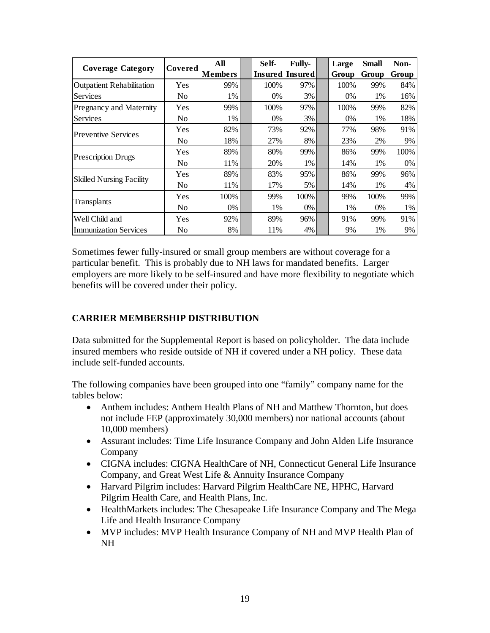|                                  |                | All            | Self- | <b>Fully-</b>   | Large | <b>Small</b> | Non-  |
|----------------------------------|----------------|----------------|-------|-----------------|-------|--------------|-------|
| <b>Coverage Category</b>         | Covered        | <b>Members</b> |       | Insured Insured | Group | Group        | Group |
| <b>Outpatient Rehabilitation</b> | Yes            | 99%            | 100%  | 97%             | 100%  | 99%          | 84%   |
| <b>Services</b>                  | No             | 1%             | $0\%$ | 3%              | 0%    | 1%           | 16%   |
| Pregnancy and Maternity          | Yes            | 99%            | 100%  | 97%             | 100%  | 99%          | 82%   |
| <b>Services</b>                  | No             | 1%             | $0\%$ | 3%              | 0%    | 1%           | 18%   |
| <b>Preventive Services</b>       | Yes            | 82%            | 73%   | 92%             | 77%   | 98%          | 91%   |
|                                  | N <sub>0</sub> | 18%            | 27%   | 8%              | 23%   | 2%           | 9%    |
| <b>Prescription Drugs</b>        | Yes            | 89%            | 80%   | 99%             | 86%   | 99%          | 100%  |
|                                  | No             | 11%            | 20%   | 1%              | 14%   | 1%           | $0\%$ |
| <b>Skilled Nursing Facility</b>  | Yes            | 89%            | 83%   | 95%             | 86%   | 99%          | 96%   |
|                                  | No             | 11%            | 17%   | 5%              | 14%   | 1%           | 4%    |
|                                  | Yes            | 100%           | 99%   | 100%            | 99%   | 100%         | 99%   |
| Transplants                      | N <sub>0</sub> | 0%             | 1%    | 0%              | 1%    | 0%           | 1%    |
| Well Child and                   | Yes            | 92%            | 89%   | 96%             | 91%   | 99%          | 91%   |
| <b>Immunization Services</b>     | No             | 8%             | 11%   | 4%              | 9%    | 1%           | 9%    |

Sometimes fewer fully-insured or small group members are without coverage for a particular benefit. This is probably due to NH laws for mandated benefits. Larger employers are more likely to be self-insured and have more flexibility to negotiate which benefits will be covered under their policy.

## **CARRIER MEMBERSHIP DISTRIBUTION**

Data submitted for the Supplemental Report is based on policyholder. The data include insured members who reside outside of NH if covered under a NH policy. These data include self-funded accounts.

The following companies have been grouped into one "family" company name for the tables below:

- Anthem includes: Anthem Health Plans of NH and Matthew Thornton, but does not include FEP (approximately 30,000 members) nor national accounts (about 10,000 members)
- Assurant includes: Time Life Insurance Company and John Alden Life Insurance Company
- CIGNA includes: CIGNA HealthCare of NH, Connecticut General Life Insurance Company, and Great West Life & Annuity Insurance Company
- Harvard Pilgrim includes: Harvard Pilgrim HealthCare NE, HPHC, Harvard Pilgrim Health Care, and Health Plans, Inc.
- HealthMarkets includes: The Chesapeake Life Insurance Company and The Mega Life and Health Insurance Company
- MVP includes: MVP Health Insurance Company of NH and MVP Health Plan of NH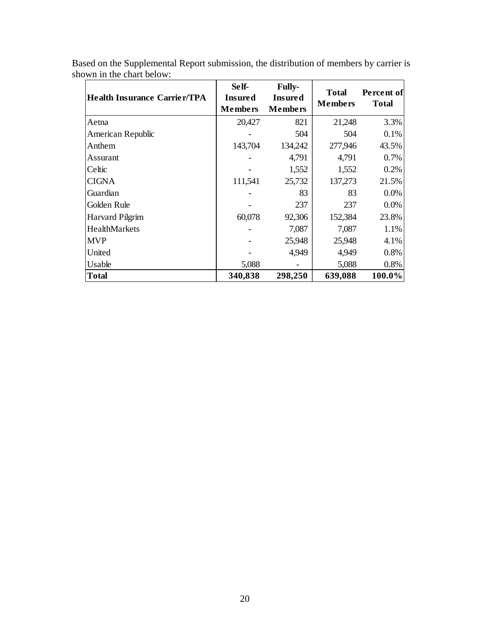| <b>Health Insurance Carrier/TPA</b> | Self-<br><b>Insured</b><br><b>Members</b> | <b>Fully-</b><br><b>Insured</b><br><b>Members</b> | <b>Total</b><br><b>Members</b> | Percent of<br><b>Total</b> |
|-------------------------------------|-------------------------------------------|---------------------------------------------------|--------------------------------|----------------------------|
| Aetna                               | 20,427                                    | 821                                               | 21,248                         | 3.3%                       |
| American Republic                   |                                           | 504                                               | 504                            | 0.1%                       |
| Anthem                              | 143,704                                   | 134,242                                           | 277,946                        | 43.5%                      |
| Assurant                            |                                           | 4,791                                             | 4,791                          | 0.7%                       |
| Celtic                              |                                           | 1,552                                             | 1,552                          | 0.2%                       |
| <b>CIGNA</b>                        | 111,541                                   | 25,732                                            | 137,273                        | 21.5%                      |
| Guardian                            |                                           | 83                                                | 83                             | 0.0%                       |
| Golden Rule                         |                                           | 237                                               | 237                            | 0.0%                       |
| <b>Harvard Pilgrim</b>              | 60,078                                    | 92,306                                            | 152,384                        | 23.8%                      |
| HealthMarkets                       |                                           | 7,087                                             | 7,087                          | 1.1%                       |
| <b>MVP</b>                          |                                           | 25,948                                            | 25,948                         | 4.1%                       |
| United                              |                                           | 4,949                                             | 4,949                          | 0.8%                       |
| Usable                              | 5,088                                     |                                                   | 5,088                          | 0.8%                       |
| <b>Total</b>                        | 340,838                                   | 298,250                                           | 639,088                        | 100.0%                     |

Based on the Supplemental Report submission, the distribution of members by carrier is shown in the chart below: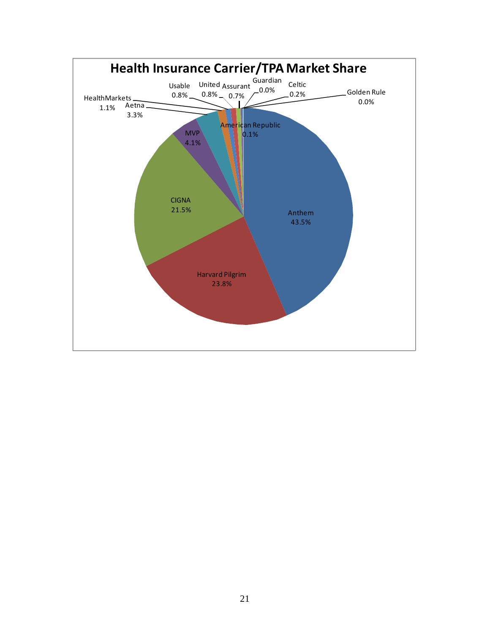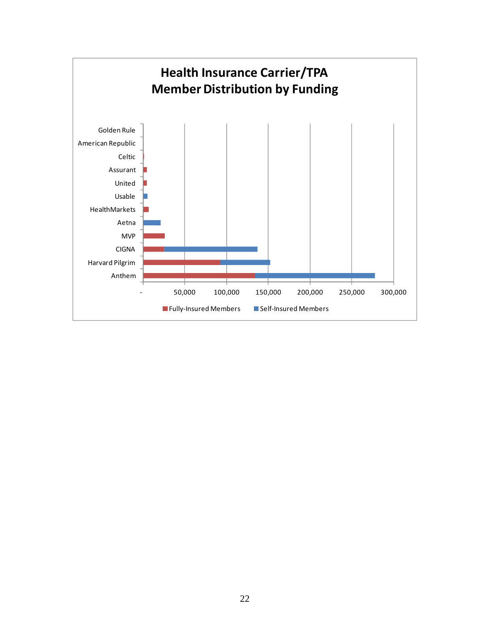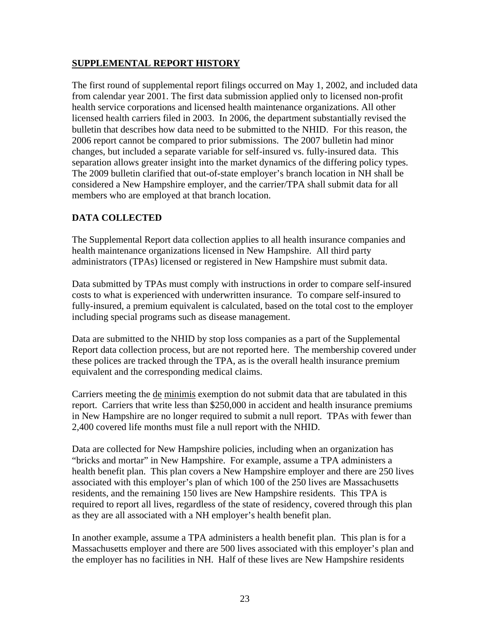#### **SUPPLEMENTAL REPORT HISTORY**

The first round of supplemental report filings occurred on May 1, 2002, and included data from calendar year 2001. The first data submission applied only to licensed non-profit health service corporations and licensed health maintenance organizations. All other licensed health carriers filed in 2003. In 2006, the department substantially revised the bulletin that describes how data need to be submitted to the NHID. For this reason, the 2006 report cannot be compared to prior submissions. The 2007 bulletin had minor changes, but included a separate variable for self-insured vs. fully-insured data. This separation allows greater insight into the market dynamics of the differing policy types. The 2009 bulletin clarified that out-of-state employer's branch location in NH shall be considered a New Hampshire employer, and the carrier/TPA shall submit data for all members who are employed at that branch location.

## **DATA COLLECTED**

The Supplemental Report data collection applies to all health insurance companies and health maintenance organizations licensed in New Hampshire. All third party administrators (TPAs) licensed or registered in New Hampshire must submit data.

Data submitted by TPAs must comply with instructions in order to compare self-insured costs to what is experienced with underwritten insurance. To compare self-insured to fully-insured, a premium equivalent is calculated, based on the total cost to the employer including special programs such as disease management.

Data are submitted to the NHID by stop loss companies as a part of the Supplemental Report data collection process, but are not reported here. The membership covered under these polices are tracked through the TPA, as is the overall health insurance premium equivalent and the corresponding medical claims.

Carriers meeting the de minimis exemption do not submit data that are tabulated in this report. Carriers that write less than \$250,000 in accident and health insurance premiums in New Hampshire are no longer required to submit a null report. TPAs with fewer than 2,400 covered life months must file a null report with the NHID.

Data are collected for New Hampshire policies, including when an organization has "bricks and mortar" in New Hampshire. For example, assume a TPA administers a health benefit plan. This plan covers a New Hampshire employer and there are 250 lives associated with this employer's plan of which 100 of the 250 lives are Massachusetts residents, and the remaining 150 lives are New Hampshire residents. This TPA is required to report all lives, regardless of the state of residency, covered through this plan as they are all associated with a NH employer's health benefit plan.

In another example, assume a TPA administers a health benefit plan. This plan is for a Massachusetts employer and there are 500 lives associated with this employer's plan and the employer has no facilities in NH. Half of these lives are New Hampshire residents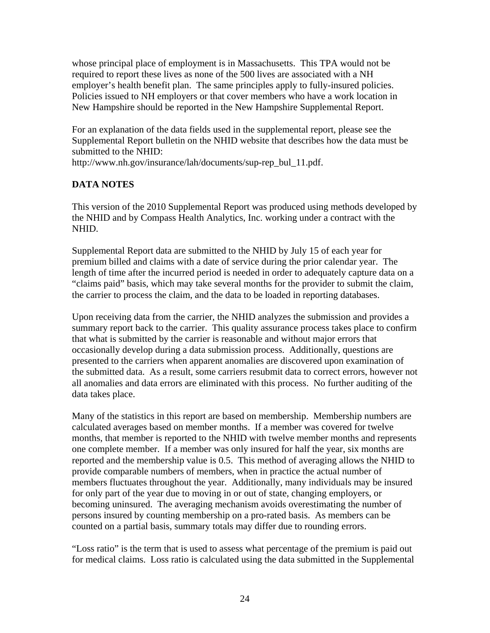whose principal place of employment is in Massachusetts. This TPA would not be required to report these lives as none of the 500 lives are associated with a NH employer's health benefit plan. The same principles apply to fully-insured policies. Policies issued to NH employers or that cover members who have a work location in New Hampshire should be reported in the New Hampshire Supplemental Report.

For an explanation of the data fields used in the supplemental report, please see the Supplemental Report bulletin on the NHID website that describes how the data must be submitted to the NHID:

http://www.nh.gov/insurance/lah/documents/sup-rep\_bul\_11.pdf.

## **DATA NOTES**

This version of the 2010 Supplemental Report was produced using methods developed by the NHID and by Compass Health Analytics, Inc. working under a contract with the NHID.

Supplemental Report data are submitted to the NHID by July 15 of each year for premium billed and claims with a date of service during the prior calendar year. The length of time after the incurred period is needed in order to adequately capture data on a "claims paid" basis, which may take several months for the provider to submit the claim, the carrier to process the claim, and the data to be loaded in reporting databases.

Upon receiving data from the carrier, the NHID analyzes the submission and provides a summary report back to the carrier. This quality assurance process takes place to confirm that what is submitted by the carrier is reasonable and without major errors that occasionally develop during a data submission process. Additionally, questions are presented to the carriers when apparent anomalies are discovered upon examination of the submitted data. As a result, some carriers resubmit data to correct errors, however not all anomalies and data errors are eliminated with this process. No further auditing of the data takes place.

Many of the statistics in this report are based on membership. Membership numbers are calculated averages based on member months. If a member was covered for twelve months, that member is reported to the NHID with twelve member months and represents one complete member. If a member was only insured for half the year, six months are reported and the membership value is 0.5. This method of averaging allows the NHID to provide comparable numbers of members, when in practice the actual number of members fluctuates throughout the year. Additionally, many individuals may be insured for only part of the year due to moving in or out of state, changing employers, or becoming uninsured. The averaging mechanism avoids overestimating the number of persons insured by counting membership on a pro-rated basis. As members can be counted on a partial basis, summary totals may differ due to rounding errors.

"Loss ratio" is the term that is used to assess what percentage of the premium is paid out for medical claims. Loss ratio is calculated using the data submitted in the Supplemental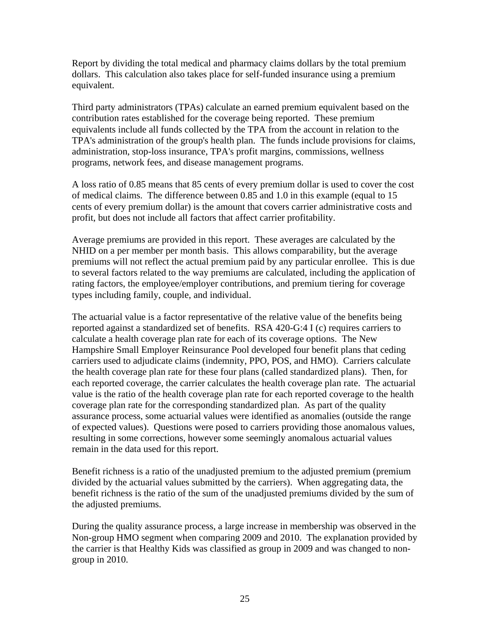Report by dividing the total medical and pharmacy claims dollars by the total premium dollars. This calculation also takes place for self-funded insurance using a premium equivalent.

Third party administrators (TPAs) calculate an earned premium equivalent based on the contribution rates established for the coverage being reported. These premium equivalents include all funds collected by the TPA from the account in relation to the TPA's administration of the group's health plan. The funds include provisions for claims, administration, stop-loss insurance, TPA's profit margins, commissions, wellness programs, network fees, and disease management programs.

A loss ratio of 0.85 means that 85 cents of every premium dollar is used to cover the cost of medical claims. The difference between 0.85 and 1.0 in this example (equal to 15 cents of every premium dollar) is the amount that covers carrier administrative costs and profit, but does not include all factors that affect carrier profitability.

Average premiums are provided in this report. These averages are calculated by the NHID on a per member per month basis. This allows comparability, but the average premiums will not reflect the actual premium paid by any particular enrollee. This is due to several factors related to the way premiums are calculated, including the application of rating factors, the employee/employer contributions, and premium tiering for coverage types including family, couple, and individual.

The actuarial value is a factor representative of the relative value of the benefits being reported against a standardized set of benefits. RSA 420-G:4 I (c) requires carriers to calculate a health coverage plan rate for each of its coverage options. The New Hampshire Small Employer Reinsurance Pool developed four benefit plans that ceding carriers used to adjudicate claims (indemnity, PPO, POS, and HMO). Carriers calculate the health coverage plan rate for these four plans (called standardized plans). Then, for each reported coverage, the carrier calculates the health coverage plan rate. The actuarial value is the ratio of the health coverage plan rate for each reported coverage to the health coverage plan rate for the corresponding standardized plan. As part of the quality assurance process, some actuarial values were identified as anomalies (outside the range of expected values). Questions were posed to carriers providing those anomalous values, resulting in some corrections, however some seemingly anomalous actuarial values remain in the data used for this report.

Benefit richness is a ratio of the unadjusted premium to the adjusted premium (premium divided by the actuarial values submitted by the carriers). When aggregating data, the benefit richness is the ratio of the sum of the unadjusted premiums divided by the sum of the adjusted premiums.

During the quality assurance process, a large increase in membership was observed in the Non-group HMO segment when comparing 2009 and 2010. The explanation provided by the carrier is that Healthy Kids was classified as group in 2009 and was changed to nongroup in 2010.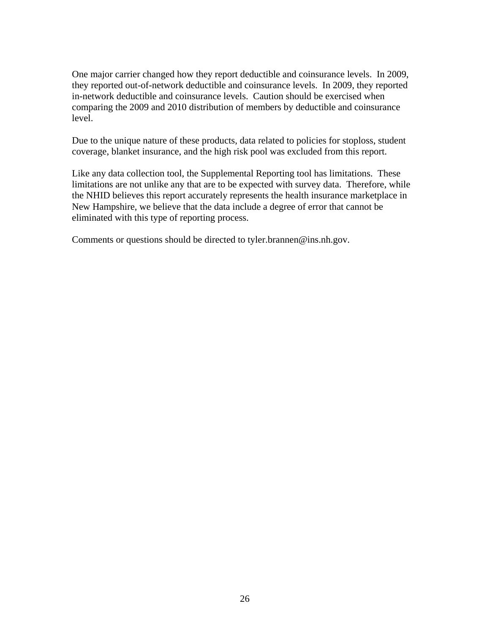One major carrier changed how they report deductible and coinsurance levels. In 2009, they reported out-of-network deductible and coinsurance levels. In 2009, they reported in-network deductible and coinsurance levels. Caution should be exercised when comparing the 2009 and 2010 distribution of members by deductible and coinsurance level.

Due to the unique nature of these products, data related to policies for stoploss, student coverage, blanket insurance, and the high risk pool was excluded from this report.

Like any data collection tool, the Supplemental Reporting tool has limitations. These limitations are not unlike any that are to be expected with survey data. Therefore, while the NHID believes this report accurately represents the health insurance marketplace in New Hampshire, we believe that the data include a degree of error that cannot be eliminated with this type of reporting process.

Comments or questions should be directed to tyler.brannen@ins.nh.gov.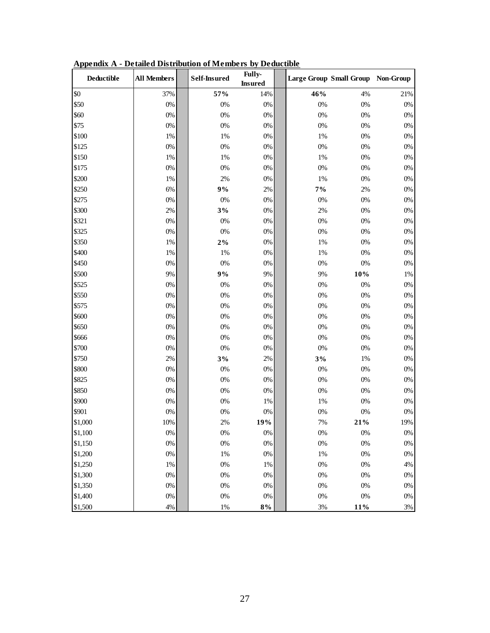| <b>Deductible</b> | <b>All Members</b> | <b>Self-Insured</b> | Fully-<br><b>Insured</b> |       | Large Group Small Group Non-Group |       |
|-------------------|--------------------|---------------------|--------------------------|-------|-----------------------------------|-------|
| \$0               | 37%                | 57%                 | 14%                      | 46%   | 4%                                | 21%   |
| \$50              | $0\%$              | 0%                  | $0\%$                    | $0\%$ | 0%                                | $0\%$ |
| \$60              | $0\%$              | $0\%$               | $0\%$                    | 0%    | 0%                                | $0\%$ |
| \$75              | $0\%$              | 0%                  | $0\%$                    | $0\%$ | 0%                                | $0\%$ |
| \$100             | 1%                 | $1\%$               | $0\%$                    | 1%    | $0\%$                             | $0\%$ |
| \$125             | $0\%$              | $0\%$               | $0\%$                    | $0\%$ | $0\%$                             | $0\%$ |
| \$150             | $1\%$              | $1\%$               | $0\%$                    | 1%    | $0\%$                             | $0\%$ |
| \$175             | $0\%$              | $0\%$               | $0\%$                    | $0\%$ | $0\%$                             | $0\%$ |
| \$200             | $1\%$              | $2\%$               | $0\%$                    | 1%    | 0%                                | $0\%$ |
| \$250             | 6%                 | $9\%$               | $2\%$                    | $7\%$ | 2%                                | $0\%$ |
| \$275             | $0\%$              | 0%                  | $0\%$                    | 0%    | 0%                                | $0\%$ |
| \$300             | $2\%$              | 3%                  | $0\%$                    | 2%    | $0\%$                             | $0\%$ |
| \$321             | $0\%$              | 0%                  | $0\%$                    | $0\%$ | 0%                                | $0\%$ |
| \$325             | $0\%$              | $0\%$               | $0\%$                    | $0\%$ | 0%                                | $0\%$ |
| \$350             | $1\%$              | $2\%$               | $0\%$                    | 1%    | 0%                                | $0\%$ |
| \$400             | $1\%$              | $1\%$               | $0\%$                    | 1%    | 0%                                | $0\%$ |
| \$450             | $0\%$              | $0\%$               | $0\%$                    | 0%    | $0\%$                             | $0\%$ |
| \$500             | 9%                 | 9%                  | 9%                       | 9%    | $10\%$                            | 1%    |
| \$525             | $0\%$              | $0\%$               | $0\%$                    | $0\%$ | $0\%$                             | $0\%$ |
| \$550             | $0\%$              | $0\%$               | $0\%$                    | 0%    | $0\%$                             | $0\%$ |
| \$575             | $0\%$              | $0\%$               | $0\%$                    | 0%    | 0%                                | $0\%$ |
| \$600             | $0\%$              | $0\%$               | $0\%$                    | 0%    | 0%                                | $0\%$ |
| \$650             | $0\%$              | $0\%$               | $0\%$                    | $0\%$ | $0\%$                             | $0\%$ |
| \$666             | $0\%$              | $0\%$               | $0\%$                    | $0\%$ | $0\%$                             | $0\%$ |
| \$700             | $0\%$              | 0%                  | $0\%$                    | $0\%$ | $0\%$                             | $0\%$ |
| \$750             | $2\%$              | 3%                  | 2%                       | 3%    | $1\%$                             | $0\%$ |
| \$800             | $0\%$              | $0\%$               | $0\%$                    | 0%    | 0%                                | $0\%$ |
| \$825             | $0\%$              | $0\%$               | $0\%$                    | $0\%$ | 0%                                | $0\%$ |
| \$850             | $0\%$              | $0\%$               | $0\%$                    | 0%    | 0%                                | $0\%$ |
| \$900             | $0\%$              | $0\%$               | $1\%$                    | 1%    | $0\%$                             | $0\%$ |
| \$901             | $0\%$              | 0%                  | $0\%$                    | 0%    | $0\%$                             | $0\%$ |
| \$1,000           | 10%                | 2%                  | 19%                      | 7%    | 21%                               | 19%   |
| \$1,100           | $0\%$              | $0\%$               | $0\%$                    | $0\%$ | $0\%$                             | $0\%$ |
| \$1,150           | $0\%$              | $0\%$               | $0\%$                    | $0\%$ | $0\%$                             | $0\%$ |
| \$1,200           | $0\%$              | $1\%$               | $0\%$                    | $1\%$ | $0\%$                             | $0\%$ |
| \$1,250           | $1\%$              | $0\%$               | 1%                       | $0\%$ | $0\%$                             | $4\%$ |
| \$1,300           | $0\%$              | $0\%$               | $0\%$                    | $0\%$ | $0\%$                             | $0\%$ |
| \$1,350           | $0\%$              | $0\%$               | $0\%$                    | $0\%$ | $0\%$                             | $0\%$ |
| \$1,400           | $0\%$              | $0\%$               | $0\%$                    | 0%    | $0\%$                             | $0\%$ |
| \$1,500           | $4\%$              | $1\%$               | $8\%$                    | 3%    | 11%                               | $3\%$ |

**Appendix A - Detailed Distribution of Members by Deductible**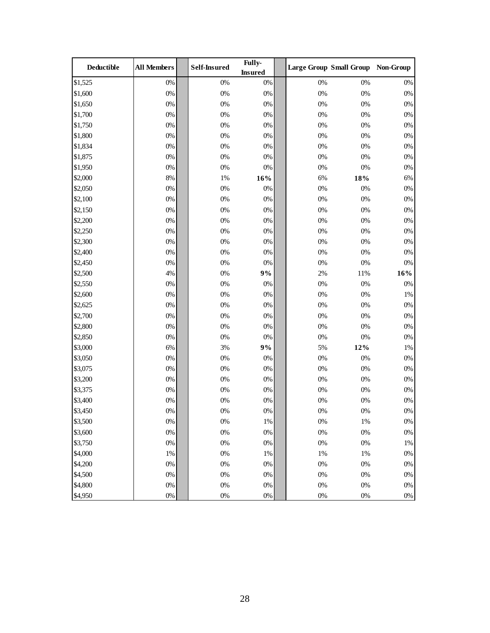| Deductible | <b>All Members</b> | <b>Self-Insured</b> | Fully-<br><b>Insured</b> |       | Large Group Small Group Non-Group |       |
|------------|--------------------|---------------------|--------------------------|-------|-----------------------------------|-------|
| \$1,525    | $0\%$              | $0\%$               | $0\%$                    | $0\%$ | 0%                                | $0\%$ |
| \$1,600    | $0\%$              | $0\%$               | $0\%$                    | $0\%$ | 0%                                | $0\%$ |
| \$1,650    | $0\%$              | $0\%$               | $0\%$                    | $0\%$ | 0%                                | $0\%$ |
| \$1,700    | $0\%$              | $0\%$               | $0\%$                    | $0\%$ | $0\%$                             | $0\%$ |
| \$1,750    | $0\%$              | $0\%$               | $0\%$                    | $0\%$ | $0\%$                             | $0\%$ |
| \$1,800    | $0\%$              | $0\%$               | $0\%$                    | $0\%$ | $0\%$                             | $0\%$ |
| \$1,834    | $0\%$              | $0\%$               | 0%                       | $0\%$ | 0%                                | $0\%$ |
| \$1,875    | $0\%$              | $0\%$               | $0\%$                    | $0\%$ | 0%                                | $0\%$ |
| \$1,950    | $0\%$              | $0\%$               | $0\%$                    | $0\%$ | $0\%$                             | $0\%$ |
| \$2,000    | 8%                 | $1\%$               | 16%                      | $6\%$ | $18\%$                            | 6%    |
| \$2,050    | $0\%$              | $0\%$               | 0%                       | $0\%$ | $0\%$                             | $0\%$ |
| \$2,100    | $0\%$              | $0\%$               | $0\%$                    | $0\%$ | 0%                                | $0\%$ |
| \$2,150    | $0\%$              | $0\%$               | $0\%$                    | $0\%$ | 0%                                | $0\%$ |
| \$2,200    | $0\%$              | $0\%$               | 0%                       | 0%    | $0\%$                             | 0%    |
| \$2,250    | $0\%$              | $0\%$               | $0\%$                    | $0\%$ | 0%                                | $0\%$ |
| \$2,300    | $0\%$              | $0\%$               | $0\%$                    | $0\%$ | $0\%$                             | $0\%$ |
| \$2,400    | $0\%$              | $0\%$               | $0\%$                    | $0\%$ | 0%                                | $0\%$ |
| \$2,450    | $0\%$              | $0\%$               | $0\%$                    | $0\%$ | $0\%$                             | $0\%$ |
| \$2,500    | 4%                 | $0\%$               | 9%                       | $2\%$ | 11%                               | 16%   |
| \$2,550    | $0\%$              | $0\%$               | 0%                       | $0\%$ | 0%                                | $0\%$ |
| \$2,600    | $0\%$              | $0\%$               | $0\%$                    | $0\%$ | 0%                                | 1%    |
| \$2,625    | $0\%$              | $0\%$               | $0\%$                    | $0\%$ | $0\%$                             | $0\%$ |
| \$2,700    | $0\%$              | $0\%$               | $0\%$                    | $0\%$ | $0\%$                             | $0\%$ |
| \$2,800    | $0\%$              | $0\%$               | $0\%$                    | $0\%$ | $0\%$                             | $0\%$ |
| \$2,850    | $0\%$              | $0\%$               | $0\%$                    | $0\%$ | $0\%$                             | $0\%$ |
| \$3,000    | $6\%$              | 3%                  | 9%                       | 5%    | 12%                               | 1%    |
| \$3,050    | $0\%$              | $0\%$               | $0\%$                    | $0\%$ | 0%                                | $0\%$ |
| \$3,075    | $0\%$              | $0\%$               | $0\%$                    | $0\%$ | $0\%$                             | 0%    |
| \$3,200    | $0\%$              | $0\%$               | $0\%$                    | $0\%$ | $0\%$                             | $0\%$ |
| \$3,375    | $0\%$              | $0\%$               | $0\%$                    | $0\%$ | $0\%$                             | $0\%$ |
| \$3,400    | $0\%$              | $0\%$               | $0\%$                    | $0\%$ | $0\%$                             | $0\%$ |
| \$3,450    | $0\%$              | $0\%$               | $0\%$                    | $0\%$ | $0\%$                             | $0\%$ |
| \$3,500    | $0\%$              | $0\%$               | $1\%$                    | 0%    | 1%                                | $0\%$ |
| \$3,600    | $0\%$              | $0\%$               | $0\%$                    | $0\%$ | $0\%$                             | $0\%$ |
| \$3,750    | $0\%$              | $0\%$               | $0\%$                    | $0\%$ | $0\%$                             | 1%    |
| \$4,000    | $1\%$              | $0\%$               | $1\%$                    | $1\%$ | 1%                                | $0\%$ |
| \$4,200    | $0\%$              | $0\%$               | $0\%$                    | $0\%$ | $0\%$                             | $0\%$ |
| \$4,500    | $0\%$              | $0\%$               | 0%                       | $0\%$ | $0\%$                             | $0\%$ |
| \$4,800    | $0\%$              | $0\%$               | $0\%$                    | $0\%$ | $0\%$                             | $0\%$ |
| \$4,950    | $0\%$              | $0\%$               | $0\%$                    | $0\%$ | $0\%$                             | $0\%$ |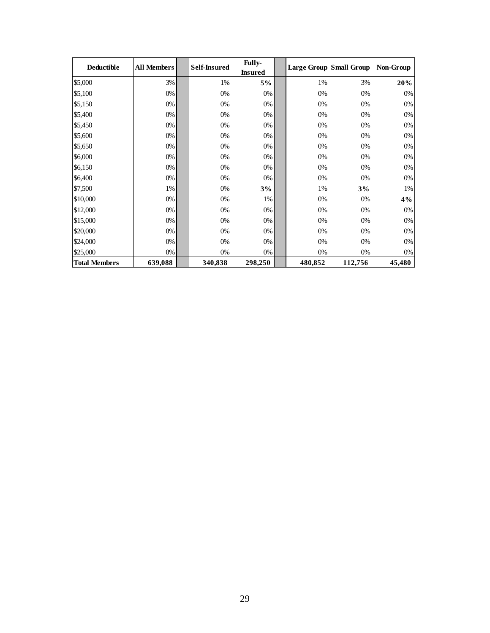| <b>Deductible</b>    | <b>All Members</b> | <b>Self-Insured</b> | <b>Fully-</b><br><b>Insured</b> |         | <b>Large Group Small Group</b> | Non-Group |
|----------------------|--------------------|---------------------|---------------------------------|---------|--------------------------------|-----------|
| \$5,000              | 3%                 | 1%                  | 5%                              | 1%      | 3%                             | 20%       |
| \$5,100              | 0%                 | 0%                  | 0%                              | 0%      | 0%                             | 0%        |
| \$5,150              | 0%                 | 0%                  | 0%                              | $0\%$   | 0%                             | 0%        |
| \$5,400              | 0%                 | 0%                  | 0%                              | 0%      | 0%                             | 0%        |
| \$5,450              | 0%                 | 0%                  | 0%                              | $0\%$   | 0%                             | 0%        |
| \$5,600              | 0%                 | 0%                  | 0%                              | 0%      | 0%                             | 0%        |
| \$5,650              | 0%                 | 0%                  | 0%                              | 0%      | 0%                             | 0%        |
| \$6,000              | 0%                 | 0%                  | 0%                              | 0%      | 0%                             | 0%        |
| \$6,150              | 0%                 | 0%                  | 0%                              | $0\%$   | 0%                             | 0%        |
| \$6,400              | 0%                 | 0%                  | 0%                              | 0%      | 0%                             | 0%        |
| \$7,500              | 1%                 | 0%                  | 3%                              | 1%      | 3%                             | 1%        |
| \$10,000             | 0%                 | 0%                  | 1%                              | 0%      | 0%                             | 4%        |
| \$12,000             | 0%                 | 0%                  | 0%                              | $0\%$   | 0%                             | 0%        |
| \$15,000             | 0%                 | 0%                  | 0%                              | 0%      | 0%                             | 0%        |
| \$20,000             | 0%                 | 0%                  | 0%                              | 0%      | 0%                             | 0%        |
| \$24,000             | 0%                 | 0%                  | 0%                              | 0%      | 0%                             | 0%        |
| \$25,000             | 0%                 | 0%                  | 0%                              | 0%      | 0%                             | 0%        |
| <b>Total Members</b> | 639,088            | 340,838             | 298,250                         | 480,852 | 112,756                        | 45,480    |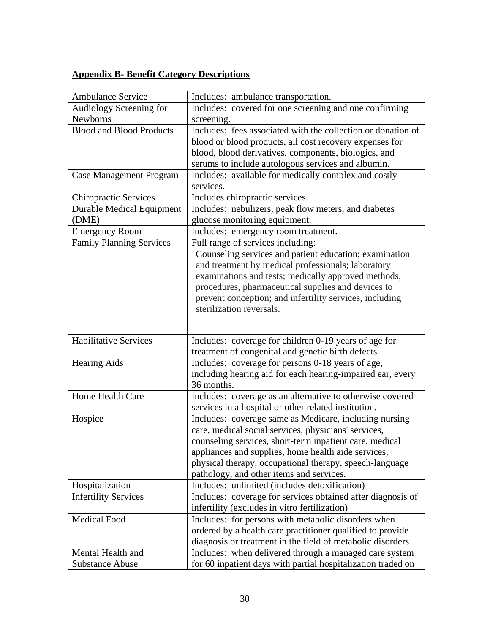## **Appendix B- Benefit Category Descriptions**

| <b>Ambulance Service</b>         | Includes: ambulance transportation.                                                                                                                                                                                                                                                                                                     |
|----------------------------------|-----------------------------------------------------------------------------------------------------------------------------------------------------------------------------------------------------------------------------------------------------------------------------------------------------------------------------------------|
| Audiology Screening for          | Includes: covered for one screening and one confirming                                                                                                                                                                                                                                                                                  |
| Newborns                         | screening.                                                                                                                                                                                                                                                                                                                              |
| <b>Blood and Blood Products</b>  | Includes: fees associated with the collection or donation of                                                                                                                                                                                                                                                                            |
|                                  | blood or blood products, all cost recovery expenses for                                                                                                                                                                                                                                                                                 |
|                                  | blood, blood derivatives, components, biologics, and                                                                                                                                                                                                                                                                                    |
|                                  | serums to include autologous services and albumin.                                                                                                                                                                                                                                                                                      |
| <b>Case Management Program</b>   | Includes: available for medically complex and costly<br>services.                                                                                                                                                                                                                                                                       |
| <b>Chiropractic Services</b>     | Includes chiropractic services.                                                                                                                                                                                                                                                                                                         |
| <b>Durable Medical Equipment</b> | Includes: nebulizers, peak flow meters, and diabetes                                                                                                                                                                                                                                                                                    |
| (DME)                            | glucose monitoring equipment.                                                                                                                                                                                                                                                                                                           |
| <b>Emergency Room</b>            | Includes: emergency room treatment.                                                                                                                                                                                                                                                                                                     |
| <b>Family Planning Services</b>  | Full range of services including:                                                                                                                                                                                                                                                                                                       |
|                                  | Counseling services and patient education; examination<br>and treatment by medical professionals; laboratory<br>examinations and tests; medically approved methods,<br>procedures, pharmaceutical supplies and devices to<br>prevent conception; and infertility services, including<br>sterilization reversals.                        |
|                                  |                                                                                                                                                                                                                                                                                                                                         |
| <b>Habilitative Services</b>     | Includes: coverage for children 0-19 years of age for                                                                                                                                                                                                                                                                                   |
|                                  | treatment of congenital and genetic birth defects.                                                                                                                                                                                                                                                                                      |
| <b>Hearing Aids</b>              | Includes: coverage for persons 0-18 years of age,<br>including hearing aid for each hearing-impaired ear, every<br>36 months.                                                                                                                                                                                                           |
| Home Health Care                 | Includes: coverage as an alternative to otherwise covered                                                                                                                                                                                                                                                                               |
|                                  | services in a hospital or other related institution.                                                                                                                                                                                                                                                                                    |
| Hospice                          | Includes: coverage same as Medicare, including nursing<br>care, medical social services, physicians' services,<br>counseling services, short-term inpatient care, medical<br>appliances and supplies, home health aide services,<br>physical therapy, occupational therapy, speech-language<br>pathology, and other items and services. |
| Hospitalization                  | Includes: unlimited (includes detoxification)                                                                                                                                                                                                                                                                                           |
| <b>Infertility Services</b>      | Includes: coverage for services obtained after diagnosis of<br>infertility (excludes in vitro fertilization)                                                                                                                                                                                                                            |
| <b>Medical Food</b>              | Includes: for persons with metabolic disorders when<br>ordered by a health care practitioner qualified to provide<br>diagnosis or treatment in the field of metabolic disorders                                                                                                                                                         |
| Mental Health and                | Includes: when delivered through a managed care system                                                                                                                                                                                                                                                                                  |
| <b>Substance Abuse</b>           | for 60 inpatient days with partial hospitalization traded on                                                                                                                                                                                                                                                                            |